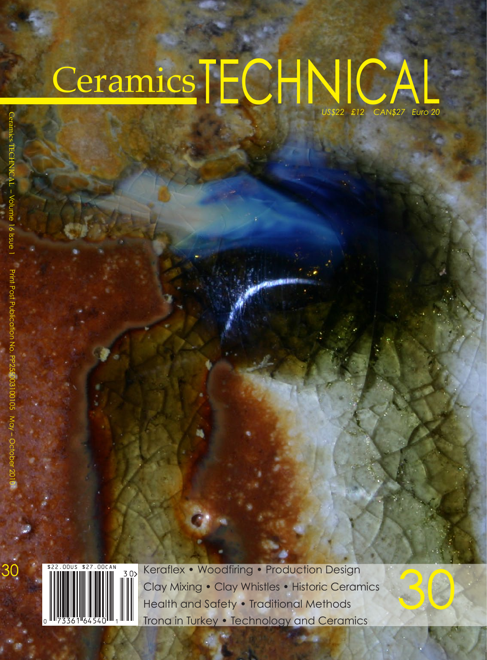## Ceramics TECHNICAL  *US\$22 £12 CAN\$27 Euro 20*

30



Keraflex • Woodfiring • Production Design<br>Clay Mixing • Clay Whistles • Historic Ceramics<br>Health and Safety • Traditional Methods Clay Mixing • Clay Whistles • Historic Ceramics Health and Safety • Traditional Methods Trona in Turkey • Technology and Ceramics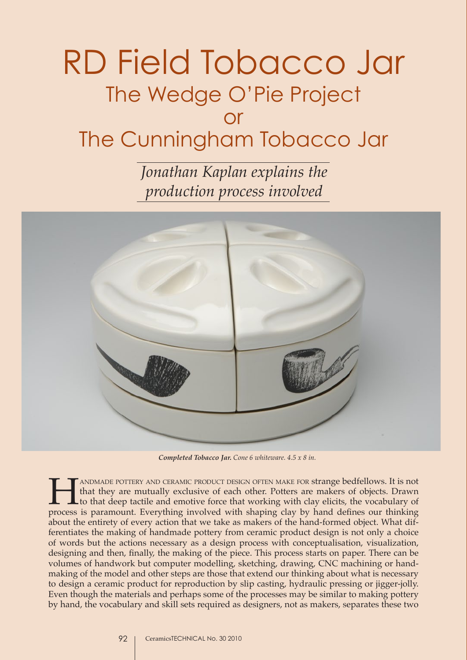## RD Field Tobacco Jar The Wedge O'Pie Project or The Cunningham Tobacco Jar

*Jonathan Kaplan explains the production process involved*



*Completed Tobacco Jar. Cone 6 whiteware. 4.5 x 8 in.*

TANDMADE POTTERY AND CERAMIC PRODUCT DESIGN OFTEN MAKE FOR strange bedfellows. It is not that they are mutually exclusive of each other. Potters are makers of objects. Drawn to that deep tactile and emotive force that work that they are mutually exclusive of each other. Potters are makers of objects. Drawn to that deep tactile and emotive force that working with clay elicits, the vocabulary of process is paramount. Everything involved with shaping clay by hand defines our thinking about the entirety of every action that we take as makers of the hand-formed object. What differentiates the making of handmade pottery from ceramic product design is not only a choice of words but the actions necessary as a design process with conceptualisation, visualization, designing and then, finally, the making of the piece. This process starts on paper. There can be volumes of handwork but computer modelling, sketching, drawing, CNC machining or handmaking of the model and other steps are those that extend our thinking about what is necessary to design a ceramic product for reproduction by slip casting, hydraulic pressing or jigger-jolly. Even though the materials and perhaps some of the processes may be similar to making pottery by hand, the vocabulary and skill sets required as designers, not as makers, separates these two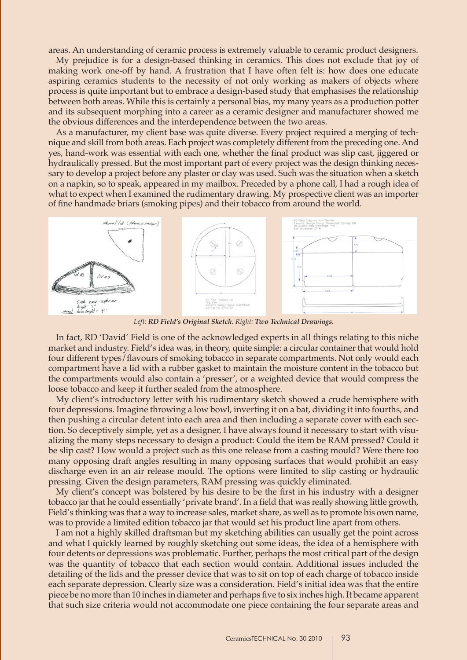areas. An understanding of ceramic process is extremely valuable to ceramic product designers.

My prejudice is for a design-based thinking in ceramics. This does not exclude that joy of making work one-off by hand. A frustration that I have often felt is: how does one educate aspiring ceramics students to the necessity of not only working as makers of objects where process is quite important but to embrace a design-based study that emphasises the relationship between both areas. While this is certainly a personal bias, my many years as a production potter and its subsequent morphing into a career as a ceramic designer and manufacturer showed me the obvious differences and the interdependence between the two areas.

As a manufacturer, my client base was quite diverse. Every project required a merging of technique and skill from both areas. Each project was completely different from the preceding one. And yes, hand-work was essential with each one, whether the final product was slip cast, jiggered or hydraulically pressed. But the most important part of every project was the design thinking necessary to develop a project before any plaster or clay was used. Such was the situation when a sketch on a napkin, so to speak, appeared in my mailbox. Preceded by a phone call, I had a rough idea of what to expect when I examined the rudimentary drawing. My prospective client was an importer of fine handmade briars (smoking pipes) and their tobacco from around the world.



*Left: RD Field's Original Sketch. Right: Two Technical Drawings.*

In fact, RD 'David' Field is one of the acknowledged experts in all things relating to this niche market and industry. Field's idea was, in theory, quite simple: a circular container that would hold four different types/flavours of smoking tobacco in separate compartments. Not only would each compartment have a lid with a rubber gasket to maintain the moisture content in the tobacco but the compartments would also contain a 'presser', or a weighted device that would compress the loose tobacco and keep it further sealed from the atmosphere.

My client's introductory letter with his rudimentary sketch showed a crude hemisphere with four depressions. Imagine throwing a low bowl, inverting it on a bat, dividing it into fourths, and then pushing a circular detent into each area and then including a separate cover with each section. So deceptively simple, yet as a designer, I have always found it necessary to start with visualizing the many steps necessary to design a product: Could the item be RAM pressed? Could it be slip cast? How would a project such as this one release from a casting mould? Were there too many opposing draft angles resulting in many opposing surfaces that would prohibit an easy discharge even in an air release mould. The options were limited to slip casting or hydraulic pressing. Given the design parameters, RAM pressing was quickly eliminated.

My client's concept was bolstered by his desire to be the first in his industry with a designer tobacco jar that he could essentially 'private brand'. In a field that was really showing little growth, Field's thinking was that a way to increase sales, market share, as well as to promote his own name, was to provide a limited edition tobacco jar that would set his product line apart from others.

I am not a highly skilled draftsman but my sketching abilities can usually get the point across and what I quickly learned by roughly sketching out some ideas, the idea of a hemisphere with four detents or depressions was problematic. Further, perhaps the most critical part of the design was the quantity of tobacco that each section would contain. Additional issues included the detailing of the lids and the presser device that was to sit on top of each charge of tobacco inside each separate depression. Clearly size was a consideration. Field's initial idea was that the entire piece be no more than 10 inches in diameter and perhaps five to six inches high. It became apparent that such size criteria would not accommodate one piece containing the four separate areas and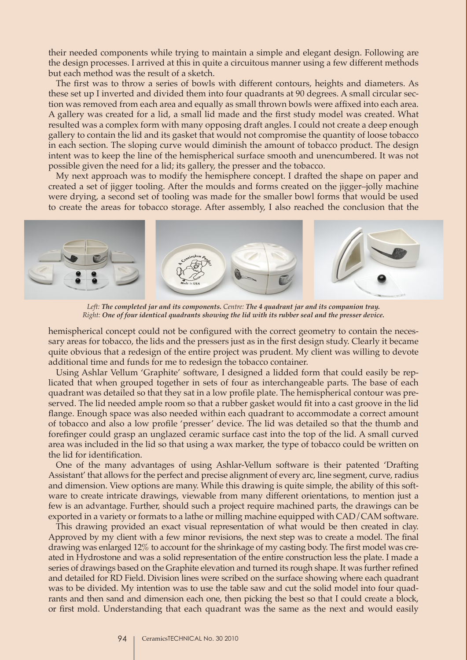their needed components while trying to maintain a simple and elegant design. Following are the design processes. I arrived at this in quite a circuitous manner using a few different methods but each method was the result of a sketch.

The first was to throw a series of bowls with different contours, heights and diameters. As these set up I inverted and divided them into four quadrants at 90 degrees. A small circular section was removed from each area and equally as small thrown bowls were affixed into each area. A gallery was created for a lid, a small lid made and the first study model was created. What resulted was a complex form with many opposing draft angles. I could not create a deep enough gallery to contain the lid and its gasket that would not compromise the quantity of loose tobacco in each section. The sloping curve would diminish the amount of tobacco product. The design intent was to keep the line of the hemispherical surface smooth and unencumbered. It was not possible given the need for a lid; its gallery, the presser and the tobacco.

My next approach was to modify the hemisphere concept. I drafted the shape on paper and created a set of jigger tooling. After the moulds and forms created on the jigger–jolly machine were drying, a second set of tooling was made for the smaller bowl forms that would be used to create the areas for tobacco storage. After assembly, I also reached the conclusion that the



*Left: The completed jar and its components. Centre: The 4 quadrant jar and its companion tray. Right: One of four identical quadrants showing the lid with its rubber seal and the presser device.*

hemispherical concept could not be configured with the correct geometry to contain the necessary areas for tobacco, the lids and the pressers just as in the first design study. Clearly it became quite obvious that a redesign of the entire project was prudent. My client was willing to devote additional time and funds for me to redesign the tobacco container.

Using Ashlar Vellum 'Graphite' software, I designed a lidded form that could easily be replicated that when grouped together in sets of four as interchangeable parts. The base of each quadrant was detailed so that they sat in a low profile plate. The hemispherical contour was preserved. The lid needed ample room so that a rubber gasket would fit into a cast groove in the lid flange. Enough space was also needed within each quadrant to accommodate a correct amount of tobacco and also a low profile 'presser' device. The lid was detailed so that the thumb and forefinger could grasp an unglazed ceramic surface cast into the top of the lid. A small curved area was included in the lid so that using a wax marker, the type of tobacco could be written on the lid for identification.

One of the many advantages of using Ashlar-Vellum software is their patented 'Drafting Assistant' that allows for the perfect and precise alignment of every arc, line segment, curve, radius and dimension. View options are many. While this drawing is quite simple, the ability of this software to create intricate drawings, viewable from many different orientations, to mention just a few is an advantage. Further, should such a project require machined parts, the drawings can be exported in a variety or formats to a lathe or milling machine equipped with CAD/CAM software.

This drawing provided an exact visual representation of what would be then created in clay. Approved by my client with a few minor revisions, the next step was to create a model. The final drawing was enlarged 12% to account for the shrinkage of my casting body. The first model was created in Hydrostone and was a solid representation of the entire construction less the plate. I made a series of drawings based on the Graphite elevation and turned its rough shape. It was further refined and detailed for RD Field. Division lines were scribed on the surface showing where each quadrant was to be divided. My intention was to use the table saw and cut the solid model into four quadrants and then sand and dimension each one, then picking the best so that I could create a block, or first mold. Understanding that each quadrant was the same as the next and would easily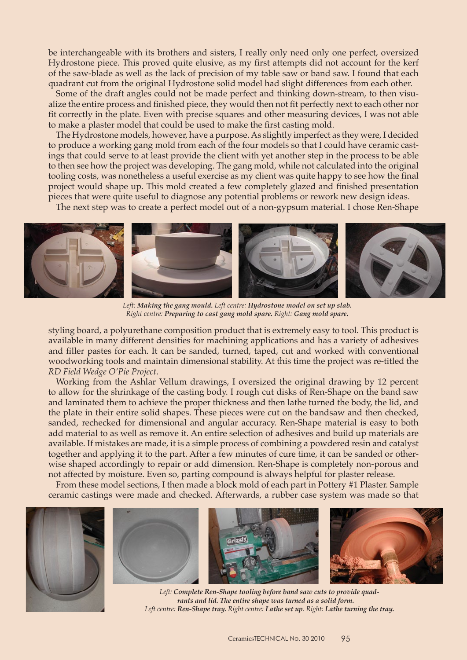be interchangeable with its brothers and sisters, I really only need only one perfect, oversized Hydrostone piece. This proved quite elusive, as my first attempts did not account for the kerf of the saw-blade as well as the lack of precision of my table saw or band saw. I found that each quadrant cut from the original Hydrostone solid model had slight differences from each other.

Some of the draft angles could not be made perfect and thinking down-stream, to then visualize the entire process and finished piece, they would then not fit perfectly next to each other nor fit correctly in the plate. Even with precise squares and other measuring devices, I was not able to make a plaster model that could be used to make the first casting mold.

The Hydrostone models, however, have a purpose. As slightly imperfect as they were, I decided to produce a working gang mold from each of the four models so that I could have ceramic castings that could serve to at least provide the client with yet another step in the process to be able to then see how the project was developing. The gang mold, while not calculated into the original tooling costs, was nonetheless a useful exercise as my client was quite happy to see how the final project would shape up. This mold created a few completely glazed and finished presentation pieces that were quite useful to diagnose any potential problems or rework new design ideas.

The next step was to create a perfect model out of a non-gypsum material. I chose Ren-Shape



*Left: Making the gang mould. Left centre: Hydrostone model on set up slab. Right centre: Preparing to cast gang mold spare. Right: Gang mold spare.*

styling board, a polyurethane composition product that is extremely easy to tool. This product is available in many different densities for machining applications and has a variety of adhesives and filler pastes for each. It can be sanded, turned, taped, cut and worked with conventional woodworking tools and maintain dimensional stability. At this time the project was re-titled the *RD Field Wedge O'Pie Project*.

Working from the Ashlar Vellum drawings, I oversized the original drawing by 12 percent to allow for the shrinkage of the casting body. I rough cut disks of Ren-Shape on the band saw and laminated them to achieve the proper thickness and then lathe turned the body, the lid, and the plate in their entire solid shapes. These pieces were cut on the bandsaw and then checked, sanded, rechecked for dimensional and angular accuracy. Ren-Shape material is easy to both add material to as well as remove it. An entire selection of adhesives and build up materials are available. If mistakes are made, it is a simple process of combining a powdered resin and catalyst together and applying it to the part. After a few minutes of cure time, it can be sanded or otherwise shaped accordingly to repair or add dimension. Ren-Shape is completely non-porous and not affected by moisture. Even so, parting compound is always helpful for plaster release.

From these model sections, I then made a block mold of each part in Pottery #1 Plaster. Sample ceramic castings were made and checked. Afterwards, a rubber case system was made so that









*Left: Complete Ren-Shape tooling before band saw cuts to provide quadrants and lid. The entire shape was turned as a solid form. Left centre: Ren-Shape tray. Right centre: Lathe set up. Right: Lathe turning the tray.*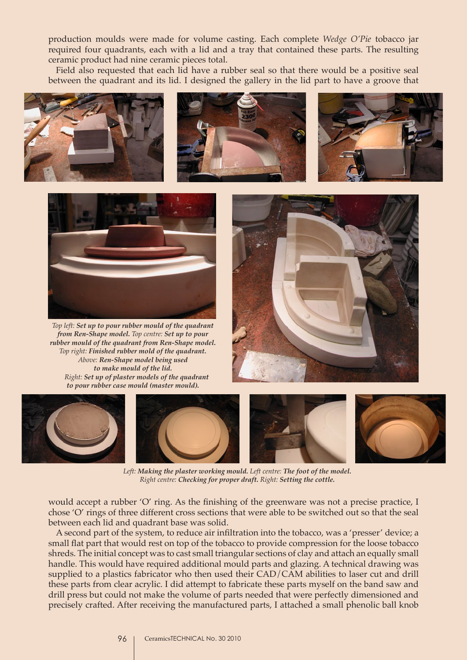production moulds were made for volume casting. Each complete *Wedge O'Pie* tobacco jar required four quadrants, each with a lid and a tray that contained these parts. The resulting ceramic product had nine ceramic pieces total.

Field also requested that each lid have a rubber seal so that there would be a positive seal between the quadrant and its lid. I designed the gallery in the lid part to have a groove that









*Top left: Set up to pour rubber mould of the quadrant from Ren-Shape model. Top centre: Set up to pour rubber mould of the quadrant from Ren-Shape model. Top right: Finished rubber mold of the quadrant. Above: Ren-Shape model being used to make mould of the lid. Right: Set up of plaster models of the quadrant to pour rubber case mould (master mould).*





*Left: Making the plaster working mould. Left centre: The foot of the model. Right centre: Checking for proper draft. Right: Setting the cottle.* 

would accept a rubber 'O' ring. As the finishing of the greenware was not a precise practice, I chose 'O' rings of three different cross sections that were able to be switched out so that the seal between each lid and quadrant base was solid.

A second part of the system, to reduce air infiltration into the tobacco, was a 'presser' device; a small flat part that would rest on top of the tobacco to provide compression for the loose tobacco shreds. The initial concept was to cast small triangular sections of clay and attach an equally small handle. This would have required additional mould parts and glazing. A technical drawing was supplied to a plastics fabricator who then used their CAD/CAM abilities to laser cut and drill these parts from clear acrylic. I did attempt to fabricate these parts myself on the band saw and drill press but could not make the volume of parts needed that were perfectly dimensioned and precisely crafted. After receiving the manufactured parts, I attached a small phenolic ball knob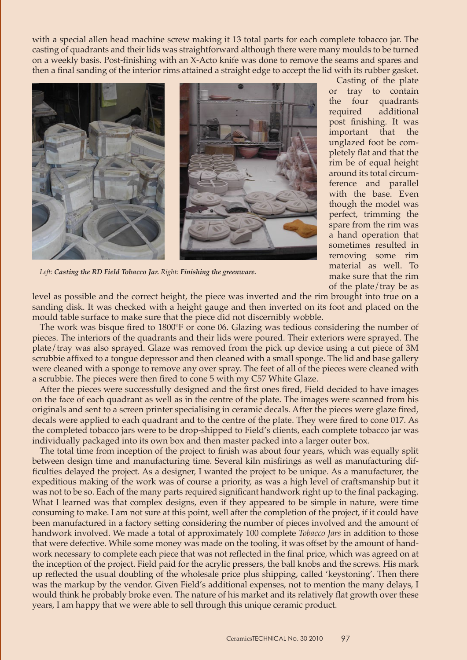with a special allen head machine screw making it 13 total parts for each complete tobacco jar. The casting of quadrants and their lids was straightforward although there were many moulds to be turned on a weekly basis. Post-finishing with an X-Acto knife was done to remove the seams and spares and then a final sanding of the interior rims attained a straight edge to accept the lid with its rubber gasket.



Casting of the plate or tray to contain the four quadrants required additional post finishing. It was important that the unglazed foot be completely flat and that the rim be of equal height around its total circumference and parallel with the base. Even though the model was perfect, trimming the spare from the rim was a hand operation that sometimes resulted in removing some rim material as well. To make sure that the rim of the plate/tray be as

*Left: Casting the RD Field Tobacco Jar. Right: Finishing the greenware.*

level as possible and the correct height, the piece was inverted and the rim brought into true on a sanding disk. It was checked with a height gauge and then inverted on its foot and placed on the mould table surface to make sure that the piece did not discernibly wobble.

The work was bisque fired to 1800ºF or cone 06. Glazing was tedious considering the number of pieces. The interiors of the quadrants and their lids were poured. Their exteriors were sprayed. The plate/tray was also sprayed. Glaze was removed from the pick up device using a cut piece of 3M scrubbie affixed to a tongue depressor and then cleaned with a small sponge. The lid and base gallery were cleaned with a sponge to remove any over spray. The feet of all of the pieces were cleaned with a scrubbie. The pieces were then fired to cone 5 with my C57 White Glaze.

After the pieces were successfully designed and the first ones fired, Field decided to have images on the face of each quadrant as well as in the centre of the plate. The images were scanned from his originals and sent to a screen printer specialising in ceramic decals. After the pieces were glaze fired, decals were applied to each quadrant and to the centre of the plate. They were fired to cone 017. As the completed tobacco jars were to be drop-shipped to Field's clients, each complete tobacco jar was individually packaged into its own box and then master packed into a larger outer box.

The total time from inception of the project to finish was about four years, which was equally split between design time and manufacturing time. Several kiln misfirings as well as manufacturing difficulties delayed the project. As a designer, I wanted the project to be unique. As a manufacturer, the expeditious making of the work was of course a priority, as was a high level of craftsmanship but it was not to be so. Each of the many parts required significant handwork right up to the final packaging. What I learned was that complex designs, even if they appeared to be simple in nature, were time consuming to make. I am not sure at this point, well after the completion of the project, if it could have been manufactured in a factory setting considering the number of pieces involved and the amount of handwork involved. We made a total of approximately 100 complete *Tobacco Jars* in addition to those that were defective. While some money was made on the tooling, it was offset by the amount of handwork necessary to complete each piece that was not reflected in the final price, which was agreed on at the inception of the project. Field paid for the acrylic pressers, the ball knobs and the screws. His mark up reflected the usual doubling of the wholesale price plus shipping, called 'keystoning'. Then there was the markup by the vendor. Given Field's additional expenses, not to mention the many delays, I would think he probably broke even. The nature of his market and its relatively flat growth over these years, I am happy that we were able to sell through this unique ceramic product.